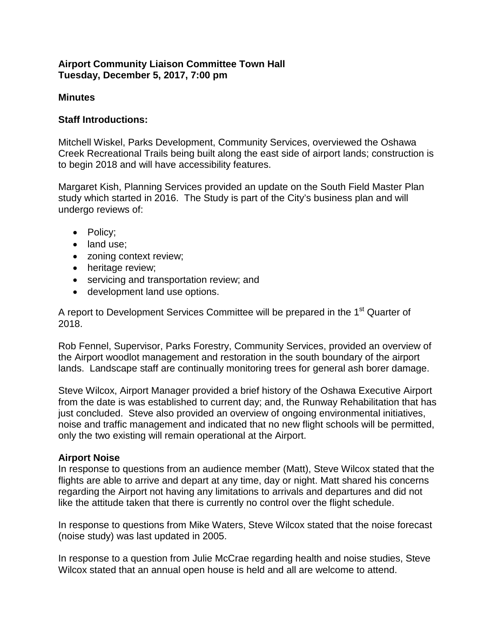### **Airport Community Liaison Committee Town Hall Tuesday, December 5, 2017, 7:00 pm**

## **Minutes**

## **Staff Introductions:**

Mitchell Wiskel, Parks Development, Community Services, overviewed the Oshawa Creek Recreational Trails being built along the east side of airport lands; construction is to begin 2018 and will have accessibility features.

Margaret Kish, Planning Services provided an update on the South Field Master Plan study which started in 2016. The Study is part of the City's business plan and will undergo reviews of:

- Policy:
- land use;
- zoning context review;
- heritage review;
- servicing and transportation review; and
- development land use options.

A report to Development Services Committee will be prepared in the 1<sup>st</sup> Quarter of 2018.

Rob Fennel, Supervisor, Parks Forestry, Community Services, provided an overview of the Airport woodlot management and restoration in the south boundary of the airport lands. Landscape staff are continually monitoring trees for general ash borer damage.

Steve Wilcox, Airport Manager provided a brief history of the Oshawa Executive Airport from the date is was established to current day; and, the Runway Rehabilitation that has just concluded. Steve also provided an overview of ongoing environmental initiatives, noise and traffic management and indicated that no new flight schools will be permitted, only the two existing will remain operational at the Airport.

### **Airport Noise**

In response to questions from an audience member (Matt), Steve Wilcox stated that the flights are able to arrive and depart at any time, day or night. Matt shared his concerns regarding the Airport not having any limitations to arrivals and departures and did not like the attitude taken that there is currently no control over the flight schedule.

In response to questions from Mike Waters, Steve Wilcox stated that the noise forecast (noise study) was last updated in 2005.

In response to a question from Julie McCrae regarding health and noise studies, Steve Wilcox stated that an annual open house is held and all are welcome to attend.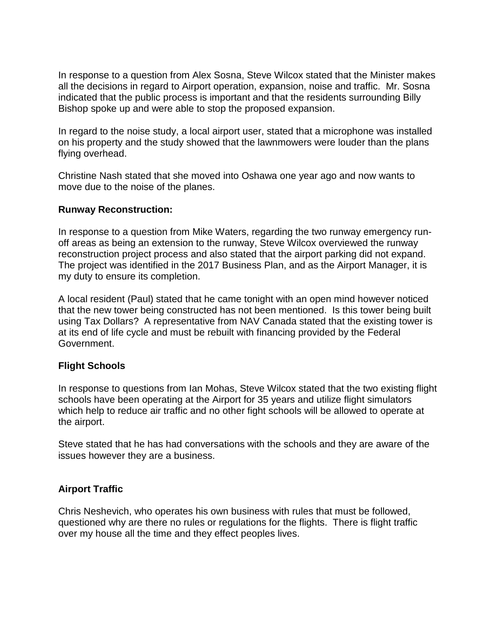In response to a question from Alex Sosna, Steve Wilcox stated that the Minister makes all the decisions in regard to Airport operation, expansion, noise and traffic. Mr. Sosna indicated that the public process is important and that the residents surrounding Billy Bishop spoke up and were able to stop the proposed expansion.

In regard to the noise study, a local airport user, stated that a microphone was installed on his property and the study showed that the lawnmowers were louder than the plans flying overhead.

Christine Nash stated that she moved into Oshawa one year ago and now wants to move due to the noise of the planes.

### **Runway Reconstruction:**

In response to a question from Mike Waters, regarding the two runway emergency runoff areas as being an extension to the runway, Steve Wilcox overviewed the runway reconstruction project process and also stated that the airport parking did not expand. The project was identified in the 2017 Business Plan, and as the Airport Manager, it is my duty to ensure its completion.

A local resident (Paul) stated that he came tonight with an open mind however noticed that the new tower being constructed has not been mentioned. Is this tower being built using Tax Dollars? A representative from NAV Canada stated that the existing tower is at its end of life cycle and must be rebuilt with financing provided by the Federal Government.

# **Flight Schools**

In response to questions from Ian Mohas, Steve Wilcox stated that the two existing flight schools have been operating at the Airport for 35 years and utilize flight simulators which help to reduce air traffic and no other fight schools will be allowed to operate at the airport.

Steve stated that he has had conversations with the schools and they are aware of the issues however they are a business.

# **Airport Traffic**

Chris Neshevich, who operates his own business with rules that must be followed, questioned why are there no rules or regulations for the flights. There is flight traffic over my house all the time and they effect peoples lives.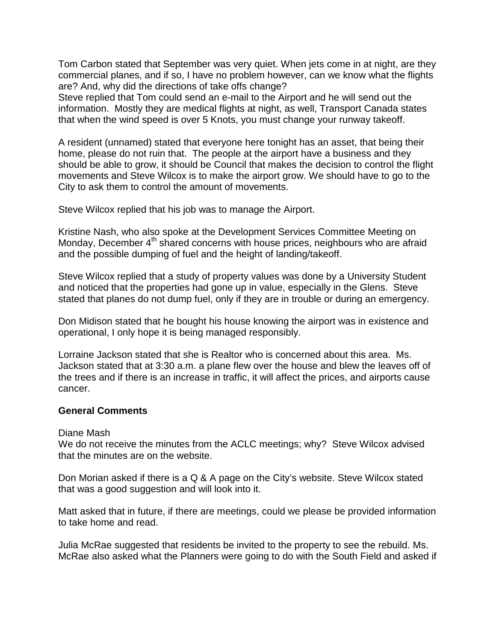Tom Carbon stated that September was very quiet. When jets come in at night, are they commercial planes, and if so, I have no problem however, can we know what the flights are? And, why did the directions of take offs change?

Steve replied that Tom could send an e-mail to the Airport and he will send out the information. Mostly they are medical flights at night, as well, Transport Canada states that when the wind speed is over 5 Knots, you must change your runway takeoff.

A resident (unnamed) stated that everyone here tonight has an asset, that being their home, please do not ruin that. The people at the airport have a business and they should be able to grow, it should be Council that makes the decision to control the flight movements and Steve Wilcox is to make the airport grow. We should have to go to the City to ask them to control the amount of movements.

Steve Wilcox replied that his job was to manage the Airport.

Kristine Nash, who also spoke at the Development Services Committee Meeting on Monday, December 4<sup>th</sup> shared concerns with house prices, neighbours who are afraid and the possible dumping of fuel and the height of landing/takeoff.

Steve Wilcox replied that a study of property values was done by a University Student and noticed that the properties had gone up in value, especially in the Glens. Steve stated that planes do not dump fuel, only if they are in trouble or during an emergency.

Don Midison stated that he bought his house knowing the airport was in existence and operational, I only hope it is being managed responsibly.

Lorraine Jackson stated that she is Realtor who is concerned about this area. Ms. Jackson stated that at 3:30 a.m. a plane flew over the house and blew the leaves off of the trees and if there is an increase in traffic, it will affect the prices, and airports cause cancer.

### **General Comments**

### Diane Mash

We do not receive the minutes from the ACLC meetings; why? Steve Wilcox advised that the minutes are on the website.

Don Morian asked if there is a Q & A page on the City's website. Steve Wilcox stated that was a good suggestion and will look into it.

Matt asked that in future, if there are meetings, could we please be provided information to take home and read.

Julia McRae suggested that residents be invited to the property to see the rebuild. Ms. McRae also asked what the Planners were going to do with the South Field and asked if